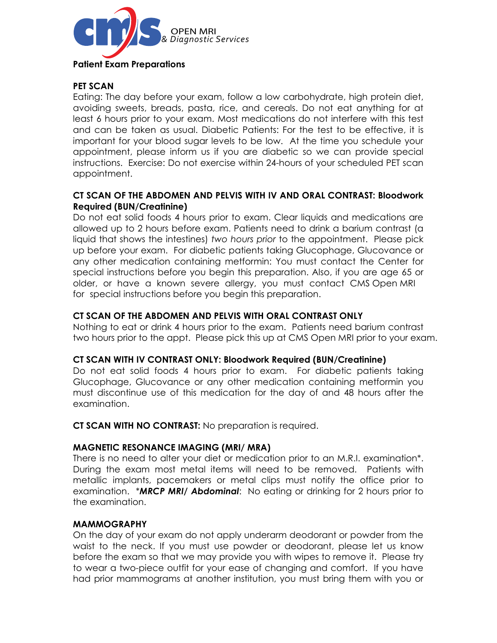

# **PET SCAN**

Eating: The day before your exam, follow a low carbohydrate, high protein diet, avoiding sweets, breads, pasta, rice, and cereals. Do not eat anything for at least 6 hours prior to your exam. Most medications do not interfere with this test and can be taken as usual. Diabetic Patients: For the test to be effective, it is important for your blood sugar levels to be low. At the time you schedule your appointment, please inform us if you are diabetic so we can provide special instructions. Exercise: Do not exercise within 24-hours of your scheduled PET scan appointment.

## **CT SCAN OF THE ABDOMEN AND PELVIS WITH IV AND ORAL CONTRAST: Bloodwork Required (BUN/Creatinine)**

Do not eat solid foods 4 hours prior to exam. Clear liquids and medications are allowed up to 2 hours before exam. Patients need to drink a barium contrast (a liquid that shows the intestines) *two hours prior* to the appointment. Please pick up before your exam. For diabetic patients taking Glucophage, Glucovance or any other medication containing metformin: You must contact the Center for special instructions before you begin this preparation. Also, if you are age 65 or older, or have a known severe allergy, you must contact CMS Open MRI for special instructions before you begin this preparation.

## **CT SCAN OF THE ABDOMEN AND PELVIS WITH ORAL CONTRAST ONLY**

Nothing to eat or drink 4 hours prior to the exam. Patients need barium contrast two hours prior to the appt. Please pick this up at CMS Open MRI prior to your exam.

### **CT SCAN WITH IV CONTRAST ONLY: Bloodwork Required (BUN/Creatinine)**

Do not eat solid foods 4 hours prior to exam. For diabetic patients taking Glucophage, Glucovance or any other medication containing metformin you must discontinue use of this medication for the day of and 48 hours after the examination.

**CT SCAN WITH NO CONTRAST:** No preparation is required.

### **MAGNETIC RESONANCE IMAGING (MRI/ MRA)**

There is no need to alter your diet or medication prior to an M.R.I. examination\*. During the exam most metal items will need to be removed. Patients with metallic implants, pacemakers or metal clips must notify the office prior to examination. \**MRCP MRI/ Abdominal*: No eating or drinking for 2 hours prior to the examination.

### **MAMMOGRAPHY**

On the day of your exam do not apply underarm deodorant or powder from the waist to the neck. If you must use powder or deodorant, please let us know before the exam so that we may provide you with wipes to remove it. Please try to wear a two-piece outfit for your ease of changing and comfort. If you have had prior mammograms at another institution, you must bring them with you or